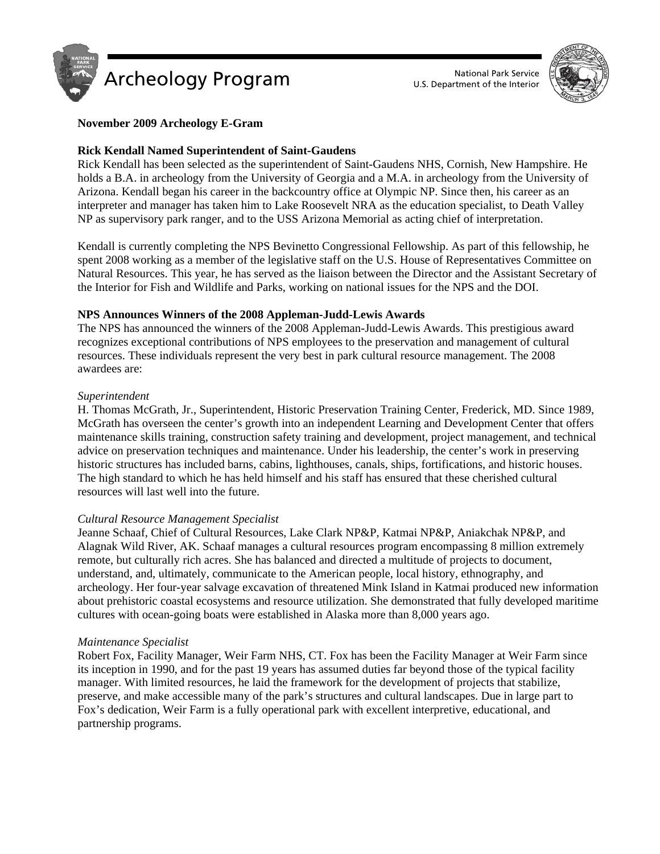



## **November 2009 Archeology E-Gram**

## **Rick Kendall Named Superintendent of Saint-Gaudens**

Rick Kendall has been selected as the superintendent of Saint-Gaudens NHS, Cornish, New Hampshire. He holds a B.A. in archeology from the University of Georgia and a M.A. in archeology from the University of Arizona. Kendall began his career in the backcountry office at Olympic NP. Since then, his career as an interpreter and manager has taken him to Lake Roosevelt NRA as the education specialist, to Death Valley NP as supervisory park ranger, and to the USS Arizona Memorial as acting chief of interpretation.

Kendall is currently completing the NPS Bevinetto Congressional Fellowship. As part of this fellowship, he spent 2008 working as a member of the legislative staff on the U.S. House of Representatives Committee on Natural Resources. This year, he has served as the liaison between the Director and the Assistant Secretary of the Interior for Fish and Wildlife and Parks, working on national issues for the NPS and the DOI.

## **NPS Announces Winners of the 2008 Appleman-Judd-Lewis Awards**

The NPS has announced the winners of the 2008 Appleman-Judd-Lewis Awards. This prestigious award recognizes exceptional contributions of NPS employees to the preservation and management of cultural resources. These individuals represent the very best in park cultural resource management. The 2008 awardees are:

### *Superintendent*

H. Thomas McGrath, Jr., Superintendent, Historic Preservation Training Center, Frederick, MD. Since 1989, McGrath has overseen the center's growth into an independent Learning and Development Center that offers maintenance skills training, construction safety training and development, project management, and technical advice on preservation techniques and maintenance. Under his leadership, the center's work in preserving historic structures has included barns, cabins, lighthouses, canals, ships, fortifications, and historic houses. The high standard to which he has held himself and his staff has ensured that these cherished cultural resources will last well into the future.

### *Cultural Resource Management Specialist*

Jeanne Schaaf, Chief of Cultural Resources, Lake Clark NP&P, Katmai NP&P, Aniakchak NP&P, and Alagnak Wild River, AK. Schaaf manages a cultural resources program encompassing 8 million extremely remote, but culturally rich acres. She has balanced and directed a multitude of projects to document, understand, and, ultimately, communicate to the American people, local history, ethnography, and archeology. Her four-year salvage excavation of threatened Mink Island in Katmai produced new information about prehistoric coastal ecosystems and resource utilization. She demonstrated that fully developed maritime cultures with ocean-going boats were established in Alaska more than 8,000 years ago.

### *Maintenance Specialist*

Robert Fox, Facility Manager, Weir Farm NHS, CT. Fox has been the Facility Manager at Weir Farm since its inception in 1990, and for the past 19 years has assumed duties far beyond those of the typical facility manager. With limited resources, he laid the framework for the development of projects that stabilize, preserve, and make accessible many of the park's structures and cultural landscapes. Due in large part to Fox's dedication, Weir Farm is a fully operational park with excellent interpretive, educational, and partnership programs.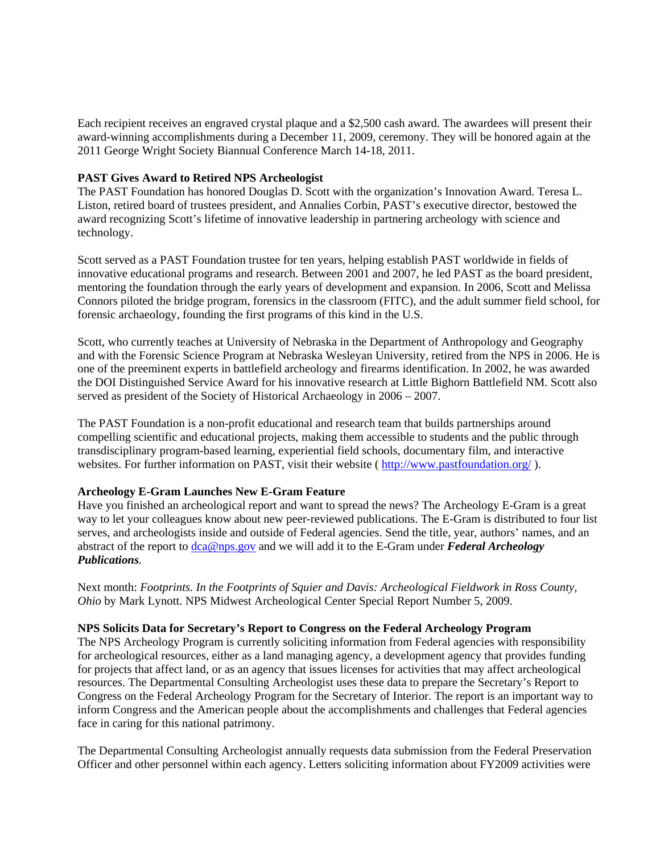Each recipient receives an engraved crystal plaque and a \$2,500 cash award. The awardees will present their award-winning accomplishments during a December 11, 2009, ceremony. They will be honored again at the 2011 George Wright Society Biannual Conference March 14-18, 2011.

# **PAST Gives Award to Retired NPS Archeologist**

The PAST Foundation has honored Douglas D. Scott with the organization's Innovation Award. Teresa L. Liston, retired board of trustees president, and Annalies Corbin, PAST's executive director, bestowed the award recognizing Scott's lifetime of innovative leadership in partnering archeology with science and technology.

Scott served as a PAST Foundation trustee for ten years, helping establish PAST worldwide in fields of innovative educational programs and research. Between 2001 and 2007, he led PAST as the board president, mentoring the foundation through the early years of development and expansion. In 2006, Scott and Melissa Connors piloted the bridge program, forensics in the classroom (FITC), and the adult summer field school, for forensic archaeology, founding the first programs of this kind in the U.S.

Scott, who currently teaches at University of Nebraska in the Department of Anthropology and Geography and with the Forensic Science Program at Nebraska Wesleyan University, retired from the NPS in 2006. He is one of the preeminent experts in battlefield archeology and firearms identification. In 2002, he was awarded the DOI Distinguished Service Award for his innovative research at Little Bighorn Battlefield NM. Scott also served as president of the Society of Historical Archaeology in 2006 – 2007.

The PAST Foundation is a non-profit educational and research team that builds partnerships around compelling scientific and educational projects, making them accessible to students and the public through transdisciplinary program-based learning, experiential field schools, documentary film, and interactive websites. For further information on PAST, visit their website (<http://www.pastfoundation.org/> ).

# **Archeology E-Gram Launches New E-Gram Feature**

Have you finished an archeological report and want to spread the news? The Archeology E-Gram is a great way to let your colleagues know about new peer-reviewed publications. The E-Gram is distributed to four list serves, and archeologists inside and outside of Federal agencies. Send the title, year, authors' names, and an abstract of the report to [dca@nps.gov](mailto:dca@nps.gov) and we will add it to the E-Gram under *Federal Archeology Publications.* 

Next month: *Footprints. In the Footprints of Squier and Davis: Archeological Fieldwork in Ross County, Ohio* by Mark Lynott. NPS Midwest Archeological Center Special Report Number 5, 2009.

# **NPS Solicits Data for Secretary's Report to Congress on the Federal Archeology Program**

The NPS Archeology Program is currently soliciting information from Federal agencies with responsibility for archeological resources, either as a land managing agency, a development agency that provides funding for projects that affect land, or as an agency that issues licenses for activities that may affect archeological resources. The Departmental Consulting Archeologist uses these data to prepare the Secretary's Report to Congress on the Federal Archeology Program for the Secretary of Interior. The report is an important way to inform Congress and the American people about the accomplishments and challenges that Federal agencies face in caring for this national patrimony.

The Departmental Consulting Archeologist annually requests data submission from the Federal Preservation Officer and other personnel within each agency. Letters soliciting information about FY2009 activities were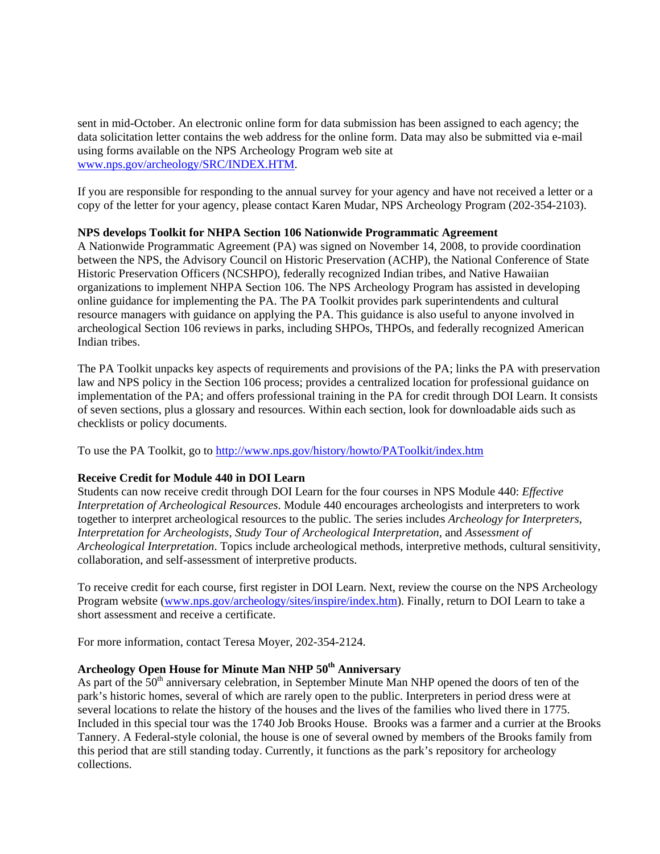sent in mid-October. An electronic online form for data submission has been assigned to each agency; the data solicitation letter contains the web address for the online form. Data may also be submitted via e-mail using forms available on the NPS Archeology Program web site at [www.nps.gov/archeology/SRC/INDEX.HTM](http://www.nps.gov/archeology/SRC/INDEX.HTM).

If you are responsible for responding to the annual survey for your agency and have not received a letter or a copy of the letter for your agency, please contact Karen Mudar, NPS Archeology Program (202-354-2103).

## **NPS develops Toolkit for NHPA Section 106 Nationwide Programmatic Agreement**

A Nationwide Programmatic Agreement (PA) was signed on November 14, 2008, to provide coordination between the NPS, the Advisory Council on Historic Preservation (ACHP), the National Conference of State Historic Preservation Officers (NCSHPO), federally recognized Indian tribes, and Native Hawaiian organizations to implement NHPA Section 106. The NPS Archeology Program has assisted in developing online guidance for implementing the PA. The PA Toolkit provides park superintendents and cultural resource managers with guidance on applying the PA. This guidance is also useful to anyone involved in archeological Section 106 reviews in parks, including SHPOs, THPOs, and federally recognized American Indian tribes.

The PA Toolkit unpacks key aspects of requirements and provisions of the PA; links the PA with preservation law and NPS policy in the Section 106 process; provides a centralized location for professional guidance on implementation of the PA; and offers professional training in the PA for credit through DOI Learn. It consists of seven sections, plus a glossary and resources. Within each section, look for downloadable aids such as checklists or policy documents.

To use the PA Toolkit, go to<http://www.nps.gov/history/howto/PAToolkit/index.htm>

# **Receive Credit for Module 440 in DOI Learn**

Students can now receive credit through DOI Learn for the four courses in NPS Module 440: *Effective Interpretation of Archeological Resources*. Module 440 encourages archeologists and interpreters to work together to interpret archeological resources to the public. The series includes *Archeology for Interpreters, Interpretation for Archeologists, Study Tour of Archeological Interpretation,* and *Assessment of Archeological Interpretation*. Topics include archeological methods, interpretive methods, cultural sensitivity, collaboration, and self-assessment of interpretive products.

To receive credit for each course, first register in DOI Learn. Next, review the course on the NPS Archeology Program website ([www.nps.gov/archeology/sites/inspire/index.htm\)](www.nps.gov/archeology/sites/inspire/index.htm). Finally, return to DOI Learn to take a short assessment and receive a certificate.

For more information, contact Teresa Moyer, 202-354-2124.

# **Archeology Open House for Minute Man NHP 50th Anniversary**

As part of the 50<sup>th</sup> anniversary celebration, in September Minute Man NHP opened the doors of ten of the park's historic homes, several of which are rarely open to the public. Interpreters in period dress were at several locations to relate the history of the houses and the lives of the families who lived there in 1775. Included in this special tour was the 1740 Job Brooks House. Brooks was a farmer and a currier at the Brooks Tannery. A Federal-style colonial, the house is one of several owned by members of the Brooks family from this period that are still standing today. Currently, it functions as the park's repository for archeology collections.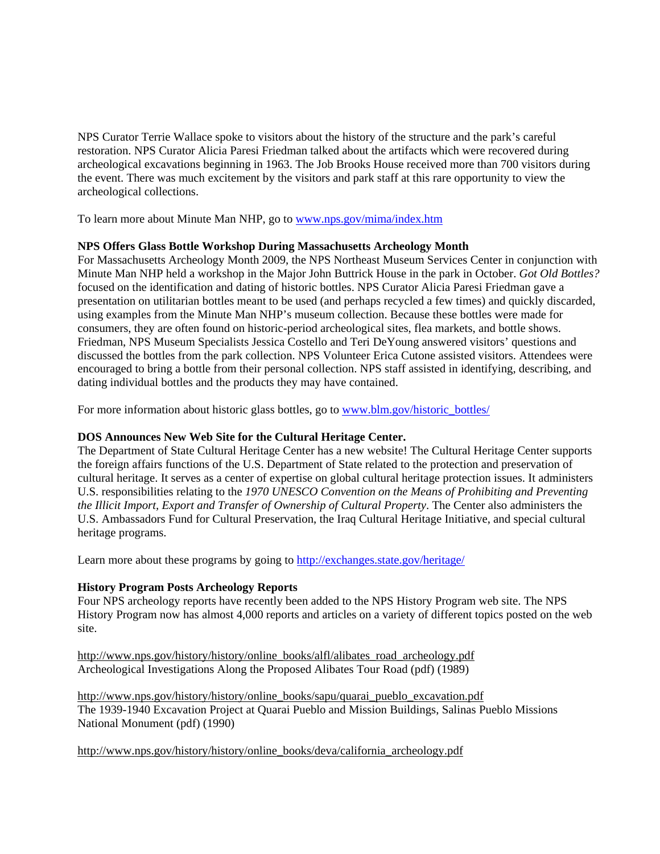NPS Curator Terrie Wallace spoke to visitors about the history of the structure and the park's careful restoration. NPS Curator Alicia Paresi Friedman talked about the artifacts which were recovered during archeological excavations beginning in 1963. The Job Brooks House received more than 700 visitors during the event. There was much excitement by the visitors and park staff at this rare opportunity to view the archeological collections.

To learn more about Minute Man NHP, go to<www.nps.gov/mima/index.htm>

# **NPS Offers Glass Bottle Workshop During Massachusetts Archeology Month**

For Massachusetts Archeology Month 2009, the NPS Northeast Museum Services Center in conjunction with Minute Man NHP held a workshop in the Major John Buttrick House in the park in October. *Got Old Bottles?*  focused on the identification and dating of historic bottles. NPS Curator Alicia Paresi Friedman gave a presentation on utilitarian bottles meant to be used (and perhaps recycled a few times) and quickly discarded, using examples from the Minute Man NHP's museum collection. Because these bottles were made for consumers, they are often found on historic-period archeological sites, flea markets, and bottle shows. Friedman, NPS Museum Specialists Jessica Costello and Teri DeYoung answered visitors' questions and discussed the bottles from the park collection. NPS Volunteer Erica Cutone assisted visitors. Attendees were encouraged to bring a bottle from their personal collection. NPS staff assisted in identifying, describing, and dating individual bottles and the products they may have contained.

For more information about historic glass bottles, go to [www.blm.gov/historic\\_bottles/](www.blm.gov/historic_bottles/)

# **DOS Announces New Web Site for the Cultural Heritage Center.**

The Department of State Cultural Heritage Center has a new website! The Cultural Heritage Center supports the foreign affairs functions of the U.S. Department of State related to the protection and preservation of cultural heritage. It serves as a center of expertise on global cultural heritage protection issues. It administers U.S. responsibilities relating to the *1970 UNESCO Convention on the Means of Prohibiting and Preventing the Illicit Import, Export and Transfer of Ownership of Cultural Property*. The Center also administers the U.S. Ambassadors Fund for Cultural Preservation, the Iraq Cultural Heritage Initiative, and special cultural heritage programs.

Learn more about these programs by going to<http://exchanges.state.gov/heritage/>

# **History Program Posts Archeology Reports**

Four NPS archeology reports have recently been added to the NPS History Program web site. The NPS History Program now has almost 4,000 reports and articles on a variety of different topics posted on the web site.

[http://www.nps.gov/history/history/online\\_books/alfl/alibates\\_road\\_archeology.pdf](http://www.nps.gov/history/history/online_books/alfl/alibates_road_archeology.pdf) Archeological Investigations Along the Proposed Alibates Tour Road (pdf) (1989)

[http://www.nps.gov/history/history/online\\_books/sapu/quarai\\_pueblo\\_excavation.pdf](http://www.nps.gov/history/history/online_books/sapu/quarai_pueblo_excavation.pdf) The 1939-1940 Excavation Project at Quarai Pueblo and Mission Buildings, Salinas Pueblo Missions National Monument (pdf) (1990)

[http://www.nps.gov/history/history/online\\_books/deva/california\\_archeology.pdf](http://www.nps.gov/history/history/online_books/deva/california_archeology.pdf)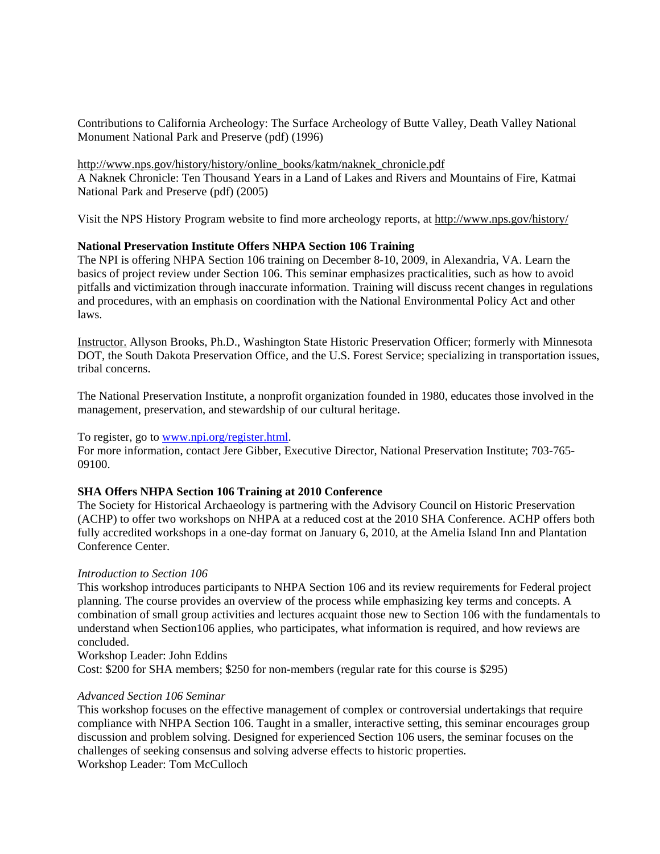Contributions to California Archeology: The Surface Archeology of Butte Valley, Death Valley National Monument National Park and Preserve (pdf) (1996)

[http://www.nps.gov/history/history/online\\_books/katm/naknek\\_chronicle.pdf](http://www.nps.gov/history/history/online_books/katm/naknek_chronicle.pdf) A Naknek Chronicle: Ten Thousand Years in a Land of Lakes and Rivers and Mountains of Fire, Katmai National Park and Preserve (pdf) (2005)

Visit the NPS History Program website to find more archeology reports, at<http://www.nps.gov/history/>

## **National Preservation Institute Offers NHPA Section 106 Training**

The NPI is offering NHPA Section 106 training on December 8-10, 2009, in Alexandria, VA. Learn the basics of project review under Section 106. This seminar emphasizes practicalities, such as how to avoid pitfalls and victimization through inaccurate information. Training will discuss recent changes in regulations and procedures, with an emphasis on coordination with the National Environmental Policy Act and other laws.

Instructor. Allyson Brooks, Ph.D., Washington State Historic Preservation Officer; formerly with Minnesota DOT, the South Dakota Preservation Office, and the U.S. Forest Service; specializing in transportation issues, tribal concerns.

The National Preservation Institute, a nonprofit organization founded in 1980, educates those involved in the management, preservation, and stewardship of our cultural heritage.

### To register, go to <www.npi.org/register.html>.

For more information, contact Jere Gibber, Executive Director, National Preservation Institute; 703-765- 09100.

## **SHA Offers NHPA Section 106 Training at 2010 Conference**

The Society for Historical Archaeology is partnering with the Advisory Council on Historic Preservation (ACHP) to offer two workshops on NHPA at a reduced cost at the 2010 SHA Conference. ACHP offers both fully accredited workshops in a one-day format on January 6, 2010, at the Amelia Island Inn and Plantation Conference Center.

#### *Introduction to Section 106*

This workshop introduces participants to NHPA Section 106 and its review requirements for Federal project planning. The course provides an overview of the process while emphasizing key terms and concepts. A combination of small group activities and lectures acquaint those new to Section 106 with the fundamentals to understand when Section106 applies, who participates, what information is required, and how reviews are concluded.

Workshop Leader: John Eddins

Cost: \$200 for SHA members; \$250 for non-members (regular rate for this course is \$295)

### *Advanced Section 106 Seminar*

This workshop focuses on the effective management of complex or controversial undertakings that require compliance with NHPA Section 106. Taught in a smaller, interactive setting, this seminar encourages group discussion and problem solving. Designed for experienced Section 106 users, the seminar focuses on the challenges of seeking consensus and solving adverse effects to historic properties. Workshop Leader: Tom McCulloch